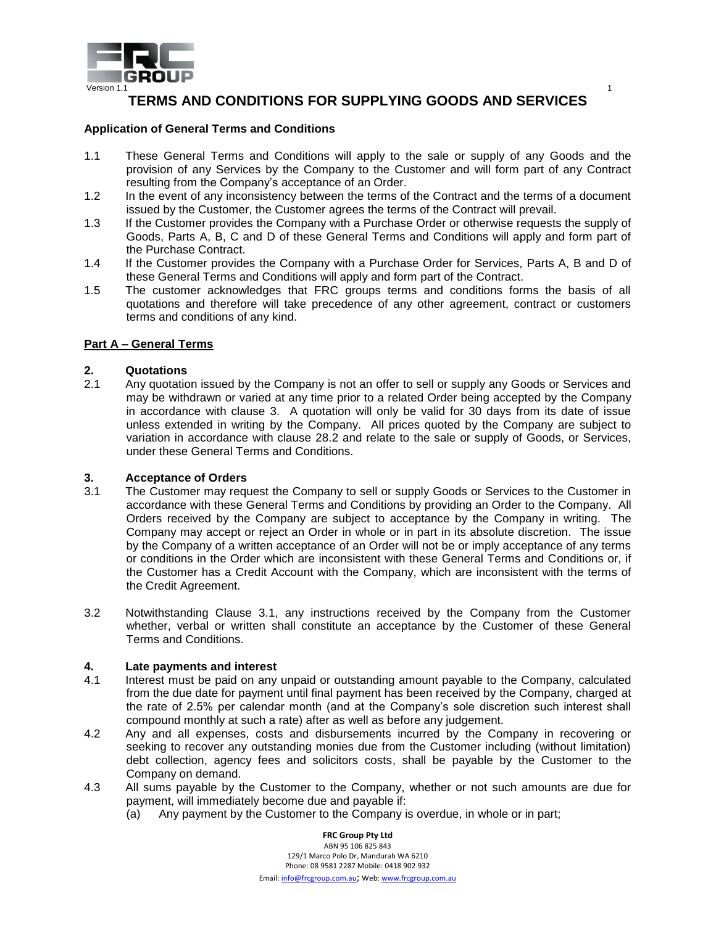

# **TERMS AND CONDITIONS FOR SUPPLYING GOODS AND SERVICES**

# **Application of General Terms and Conditions**

- 1.1 These General Terms and Conditions will apply to the sale or supply of any Goods and the provision of any Services by the Company to the Customer and will form part of any Contract resulting from the Company's acceptance of an Order.
- 1.2 In the event of any inconsistency between the terms of the Contract and the terms of a document issued by the Customer, the Customer agrees the terms of the Contract will prevail.
- 1.3 If the Customer provides the Company with a Purchase Order or otherwise requests the supply of Goods, Parts A, B, C and D of these General Terms and Conditions will apply and form part of the Purchase Contract.
- 1.4 If the Customer provides the Company with a Purchase Order for Services, Parts A, B and D of these General Terms and Conditions will apply and form part of the Contract.
- 1.5 The customer acknowledges that FRC groups terms and conditions forms the basis of all quotations and therefore will take precedence of any other agreement, contract or customers terms and conditions of any kind.

# **Part A – General Terms**

# **2. Quotations**

2.1 Any quotation issued by the Company is not an offer to sell or supply any Goods or Services and may be withdrawn or varied at any time prior to a related Order being accepted by the Company in accordance with clause 3. A quotation will only be valid for 30 days from its date of issue unless extended in writing by the Company. All prices quoted by the Company are subject to variation in accordance with clause 28.2 and relate to the sale or supply of Goods, or Services, under these General Terms and Conditions.

# **3. Acceptance of Orders**

- 3.1 The Customer may request the Company to sell or supply Goods or Services to the Customer in accordance with these General Terms and Conditions by providing an Order to the Company. All Orders received by the Company are subject to acceptance by the Company in writing. The Company may accept or reject an Order in whole or in part in its absolute discretion. The issue by the Company of a written acceptance of an Order will not be or imply acceptance of any terms or conditions in the Order which are inconsistent with these General Terms and Conditions or, if the Customer has a Credit Account with the Company, which are inconsistent with the terms of the Credit Agreement.
- 3.2 Notwithstanding Clause 3.1, any instructions received by the Company from the Customer whether, verbal or written shall constitute an acceptance by the Customer of these General Terms and Conditions.

# **4. Late payments and interest**

- 4.1 Interest must be paid on any unpaid or outstanding amount payable to the Company, calculated from the due date for payment until final payment has been received by the Company, charged at the rate of 2.5% per calendar month (and at the Company's sole discretion such interest shall compound monthly at such a rate) after as well as before any judgement.
- 4.2 Any and all expenses, costs and disbursements incurred by the Company in recovering or seeking to recover any outstanding monies due from the Customer including (without limitation) debt collection, agency fees and solicitors costs, shall be payable by the Customer to the Company on demand.
- 4.3 All sums payable by the Customer to the Company, whether or not such amounts are due for payment, will immediately become due and payable if:
	- (a) Any payment by the Customer to the Company is overdue, in whole or in part;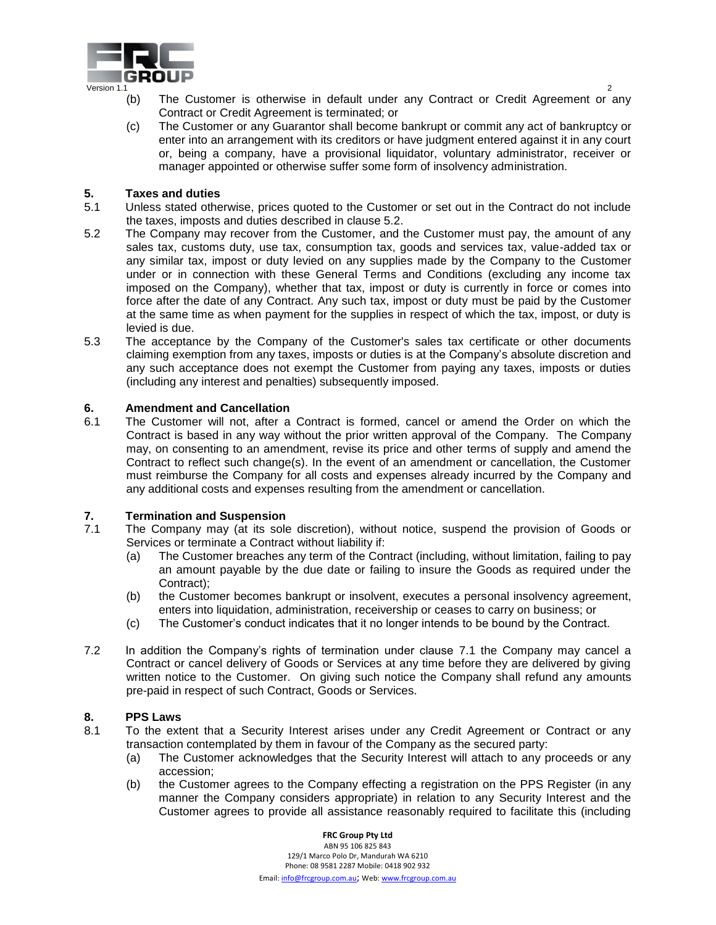

- (b) The Customer is otherwise in default under any Contract or Credit Agreement or any Contract or Credit Agreement is terminated; or
- (c) The Customer or any Guarantor shall become bankrupt or commit any act of bankruptcy or enter into an arrangement with its creditors or have judgment entered against it in any court or, being a company, have a provisional liquidator, voluntary administrator, receiver or manager appointed or otherwise suffer some form of insolvency administration.

#### **5. Taxes and duties**

- 5.1 Unless stated otherwise, prices quoted to the Customer or set out in the Contract do not include the taxes, imposts and duties described in clause 5.2.
- 5.2 The Company may recover from the Customer, and the Customer must pay, the amount of any sales tax, customs duty, use tax, consumption tax, goods and services tax, value-added tax or any similar tax, impost or duty levied on any supplies made by the Company to the Customer under or in connection with these General Terms and Conditions (excluding any income tax imposed on the Company), whether that tax, impost or duty is currently in force or comes into force after the date of any Contract. Any such tax, impost or duty must be paid by the Customer at the same time as when payment for the supplies in respect of which the tax, impost, or duty is levied is due.
- 5.3 The acceptance by the Company of the Customer's sales tax certificate or other documents claiming exemption from any taxes, imposts or duties is at the Company's absolute discretion and any such acceptance does not exempt the Customer from paying any taxes, imposts or duties (including any interest and penalties) subsequently imposed.

# **6. Amendment and Cancellation**

6.1 The Customer will not, after a Contract is formed, cancel or amend the Order on which the Contract is based in any way without the prior written approval of the Company. The Company may, on consenting to an amendment, revise its price and other terms of supply and amend the Contract to reflect such change(s). In the event of an amendment or cancellation, the Customer must reimburse the Company for all costs and expenses already incurred by the Company and any additional costs and expenses resulting from the amendment or cancellation.

# **7. Termination and Suspension**<br>**7.1** The Company may (at its sole

- The Company may (at its sole discretion), without notice, suspend the provision of Goods or Services or terminate a Contract without liability if:
	- (a) The Customer breaches any term of the Contract (including, without limitation, failing to pay an amount payable by the due date or failing to insure the Goods as required under the Contract);
	- (b) the Customer becomes bankrupt or insolvent, executes a personal insolvency agreement, enters into liquidation, administration, receivership or ceases to carry on business; or
	- (c) The Customer's conduct indicates that it no longer intends to be bound by the Contract.
- 7.2 In addition the Company's rights of termination under clause 7.1 the Company may cancel a Contract or cancel delivery of Goods or Services at any time before they are delivered by giving written notice to the Customer. On giving such notice the Company shall refund any amounts pre-paid in respect of such Contract, Goods or Services.

#### **8. PPS Laws**

- 8.1 To the extent that a Security Interest arises under any Credit Agreement or Contract or any transaction contemplated by them in favour of the Company as the secured party:
	- (a) The Customer acknowledges that the Security Interest will attach to any proceeds or any accession;
	- (b) the Customer agrees to the Company effecting a registration on the PPS Register (in any manner the Company considers appropriate) in relation to any Security Interest and the Customer agrees to provide all assistance reasonably required to facilitate this (including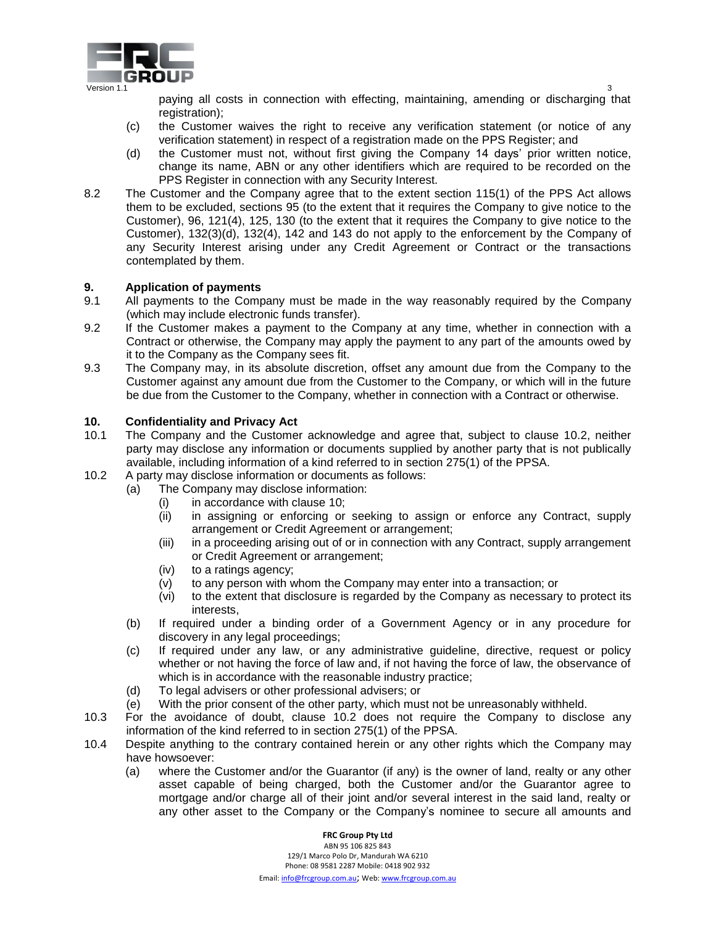

paying all costs in connection with effecting, maintaining, amending or discharging that registration);

- (c) the Customer waives the right to receive any verification statement (or notice of any verification statement) in respect of a registration made on the PPS Register; and
- (d) the Customer must not, without first giving the Company 14 days' prior written notice, change its name, ABN or any other identifiers which are required to be recorded on the PPS Register in connection with any Security Interest.
- 8.2 The Customer and the Company agree that to the extent section 115(1) of the PPS Act allows them to be excluded, sections 95 (to the extent that it requires the Company to give notice to the Customer), 96, 121(4), 125, 130 (to the extent that it requires the Company to give notice to the Customer), 132(3)(d), 132(4), 142 and 143 do not apply to the enforcement by the Company of any Security Interest arising under any Credit Agreement or Contract or the transactions contemplated by them.

# **9. Application of payments**

- 9.1 All payments to the Company must be made in the way reasonably required by the Company (which may include electronic funds transfer).
- 9.2 If the Customer makes a payment to the Company at any time, whether in connection with a Contract or otherwise, the Company may apply the payment to any part of the amounts owed by it to the Company as the Company sees fit.
- 9.3 The Company may, in its absolute discretion, offset any amount due from the Company to the Customer against any amount due from the Customer to the Company, or which will in the future be due from the Customer to the Company, whether in connection with a Contract or otherwise.

# **10. Confidentiality and Privacy Act**

- 10.1 The Company and the Customer acknowledge and agree that, subject to clause 10.2, neither party may disclose any information or documents supplied by another party that is not publically available, including information of a kind referred to in section 275(1) of the PPSA.
- 10.2 A party may disclose information or documents as follows:
	- (a) The Company may disclose information:
		- (i) in accordance with clause 10;
		- (ii) in assigning or enforcing or seeking to assign or enforce any Contract, supply arrangement or Credit Agreement or arrangement;
		- (iii) in a proceeding arising out of or in connection with any Contract, supply arrangement or Credit Agreement or arrangement;
		- (iv) to a ratings agency;
		- (v) to any person with whom the Company may enter into a transaction; or
		- (vi) to the extent that disclosure is regarded by the Company as necessary to protect its interests,
	- (b) If required under a binding order of a Government Agency or in any procedure for discovery in any legal proceedings;
	- (c) If required under any law, or any administrative guideline, directive, request or policy whether or not having the force of law and, if not having the force of law, the observance of which is in accordance with the reasonable industry practice;
	- (d) To legal advisers or other professional advisers; or
	- (e) With the prior consent of the other party, which must not be unreasonably withheld.
- 10.3 For the avoidance of doubt, clause 10.2 does not require the Company to disclose any information of the kind referred to in section 275(1) of the PPSA.
- 10.4 Despite anything to the contrary contained herein or any other rights which the Company may have howsoever:
	- (a) where the Customer and/or the Guarantor (if any) is the owner of land, realty or any other asset capable of being charged, both the Customer and/or the Guarantor agree to mortgage and/or charge all of their joint and/or several interest in the said land, realty or any other asset to the Company or the Company's nominee to secure all amounts and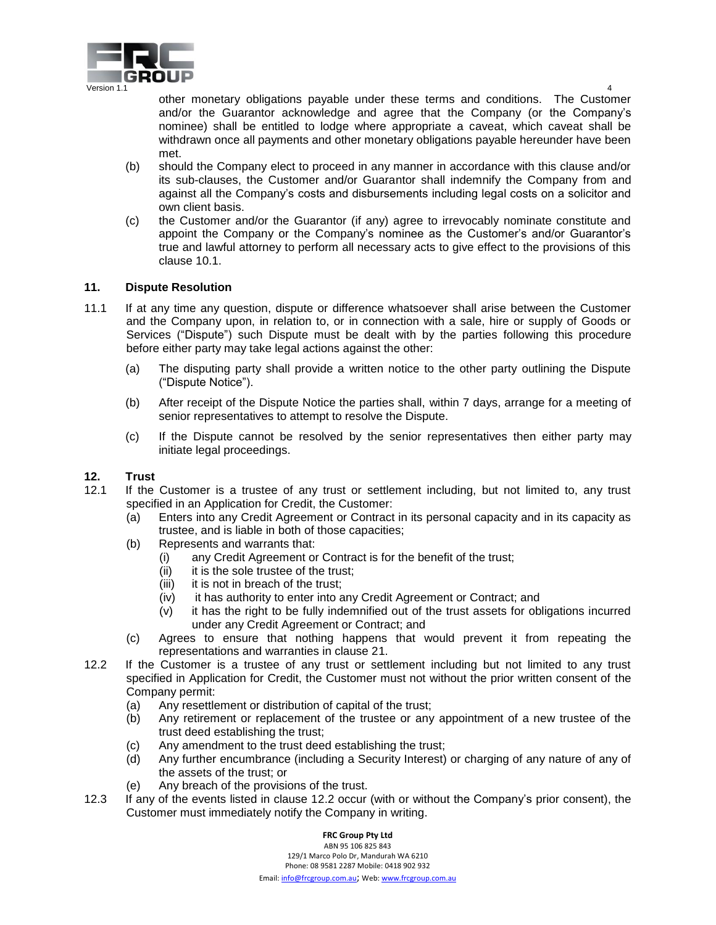

other monetary obligations payable under these terms and conditions. The Customer and/or the Guarantor acknowledge and agree that the Company (or the Company's

- nominee) shall be entitled to lodge where appropriate a caveat, which caveat shall be withdrawn once all payments and other monetary obligations payable hereunder have been met. (b) should the Company elect to proceed in any manner in accordance with this clause and/or
- its sub-clauses, the Customer and/or Guarantor shall indemnify the Company from and against all the Company's costs and disbursements including legal costs on a solicitor and own client basis.
- (c) the Customer and/or the Guarantor (if any) agree to irrevocably nominate constitute and appoint the Company or the Company's nominee as the Customer's and/or Guarantor's true and lawful attorney to perform all necessary acts to give effect to the provisions of this clause 10.1.

# **11. Dispute Resolution**

- 11.1 If at any time any question, dispute or difference whatsoever shall arise between the Customer and the Company upon, in relation to, or in connection with a sale, hire or supply of Goods or Services ("Dispute") such Dispute must be dealt with by the parties following this procedure before either party may take legal actions against the other:
	- (a) The disputing party shall provide a written notice to the other party outlining the Dispute ("Dispute Notice").
	- (b) After receipt of the Dispute Notice the parties shall, within 7 days, arrange for a meeting of senior representatives to attempt to resolve the Dispute.
	- (c) If the Dispute cannot be resolved by the senior representatives then either party may initiate legal proceedings.

# **12. Trust**

- 12.1 If the Customer is a trustee of any trust or settlement including, but not limited to, any trust specified in an Application for Credit, the Customer:
	- (a) Enters into any Credit Agreement or Contract in its personal capacity and in its capacity as trustee, and is liable in both of those capacities;
	- (b) Represents and warrants that:
		- (i) any Credit Agreement or Contract is for the benefit of the trust;
		- (ii) it is the sole trustee of the trust;
		- (iii) it is not in breach of the trust;
		- (iv) it has authority to enter into any Credit Agreement or Contract; and
		- (v) it has the right to be fully indemnified out of the trust assets for obligations incurred under any Credit Agreement or Contract; and
	- (c) Agrees to ensure that nothing happens that would prevent it from repeating the representations and warranties in clause 21.
- 12.2 If the Customer is a trustee of any trust or settlement including but not limited to any trust specified in Application for Credit, the Customer must not without the prior written consent of the Company permit:
	- (a) Any resettlement or distribution of capital of the trust;
	- (b) Any retirement or replacement of the trustee or any appointment of a new trustee of the trust deed establishing the trust;
	- (c) Any amendment to the trust deed establishing the trust;
	- (d) Any further encumbrance (including a Security Interest) or charging of any nature of any of the assets of the trust; or
	- (e) Any breach of the provisions of the trust.
- 12.3 If any of the events listed in clause 12.2 occur (with or without the Company's prior consent), the Customer must immediately notify the Company in writing.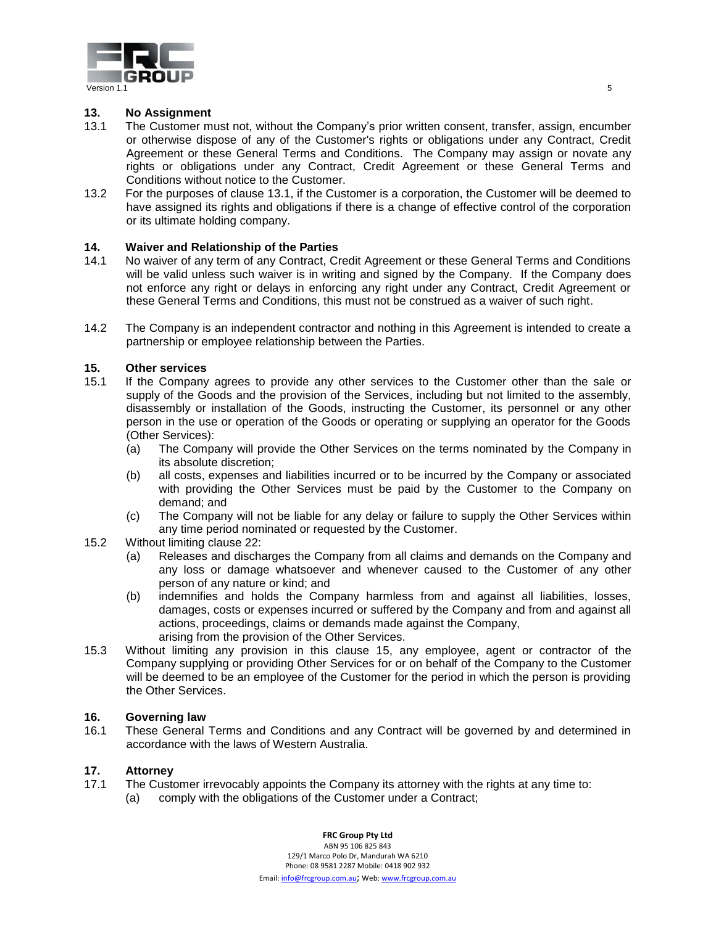

# **13. No Assignment**

- 13.1 The Customer must not, without the Company's prior written consent, transfer, assign, encumber or otherwise dispose of any of the Customer's rights or obligations under any Contract, Credit Agreement or these General Terms and Conditions. The Company may assign or novate any rights or obligations under any Contract, Credit Agreement or these General Terms and Conditions without notice to the Customer.
- 13.2 For the purposes of clause 13.1, if the Customer is a corporation, the Customer will be deemed to have assigned its rights and obligations if there is a change of effective control of the corporation or its ultimate holding company.

# **14. Waiver and Relationship of the Parties**

- 14.1 No waiver of any term of any Contract, Credit Agreement or these General Terms and Conditions will be valid unless such waiver is in writing and signed by the Company. If the Company does not enforce any right or delays in enforcing any right under any Contract, Credit Agreement or these General Terms and Conditions, this must not be construed as a waiver of such right.
- 14.2 The Company is an independent contractor and nothing in this Agreement is intended to create a partnership or employee relationship between the Parties.

# **15. Other services**

- 15.1 If the Company agrees to provide any other services to the Customer other than the sale or supply of the Goods and the provision of the Services, including but not limited to the assembly, disassembly or installation of the Goods, instructing the Customer, its personnel or any other person in the use or operation of the Goods or operating or supplying an operator for the Goods (Other Services):
	- (a) The Company will provide the Other Services on the terms nominated by the Company in its absolute discretion;
	- (b) all costs, expenses and liabilities incurred or to be incurred by the Company or associated with providing the Other Services must be paid by the Customer to the Company on demand; and
	- (c) The Company will not be liable for any delay or failure to supply the Other Services within any time period nominated or requested by the Customer.
- 15.2 Without limiting clause 22:
	- (a) Releases and discharges the Company from all claims and demands on the Company and any loss or damage whatsoever and whenever caused to the Customer of any other person of any nature or kind; and
	- (b) indemnifies and holds the Company harmless from and against all liabilities, losses, damages, costs or expenses incurred or suffered by the Company and from and against all actions, proceedings, claims or demands made against the Company, arising from the provision of the Other Services.
- 15.3 Without limiting any provision in this clause 15, any employee, agent or contractor of the Company supplying or providing Other Services for or on behalf of the Company to the Customer will be deemed to be an employee of the Customer for the period in which the person is providing the Other Services.

#### **16. Governing law**

16.1 These General Terms and Conditions and any Contract will be governed by and determined in accordance with the laws of Western Australia.

# **17. Attorney**

- 17.1 The Customer irrevocably appoints the Company its attorney with the rights at any time to:
	- (a) comply with the obligations of the Customer under a Contract;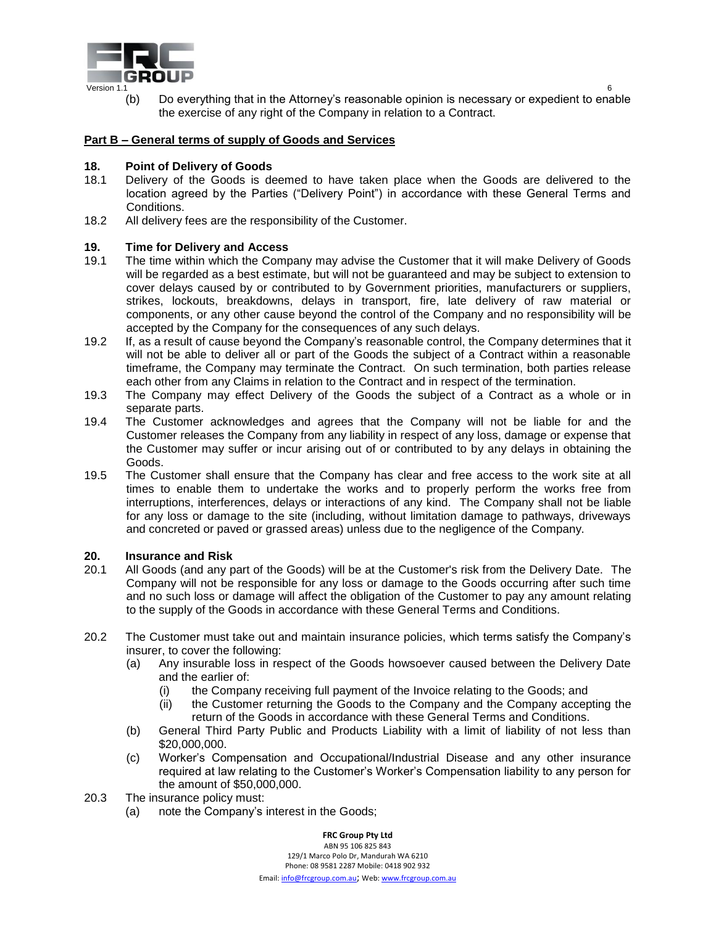

(b) Do everything that in the Attorney's reasonable opinion is necessary or expedient to enable the exercise of any right of the Company in relation to a Contract.

#### **Part B – General terms of supply of Goods and Services**

#### **18. Point of Delivery of Goods**

- 18.1 Delivery of the Goods is deemed to have taken place when the Goods are delivered to the location agreed by the Parties ("Delivery Point") in accordance with these General Terms and Conditions.
- 18.2 All delivery fees are the responsibility of the Customer.

#### **19. Time for Delivery and Access**

- 19.1 The time within which the Company may advise the Customer that it will make Delivery of Goods will be regarded as a best estimate, but will not be guaranteed and may be subject to extension to cover delays caused by or contributed to by Government priorities, manufacturers or suppliers, strikes, lockouts, breakdowns, delays in transport, fire, late delivery of raw material or components, or any other cause beyond the control of the Company and no responsibility will be accepted by the Company for the consequences of any such delays.
- 19.2 If, as a result of cause beyond the Company's reasonable control, the Company determines that it will not be able to deliver all or part of the Goods the subject of a Contract within a reasonable timeframe, the Company may terminate the Contract. On such termination, both parties release each other from any Claims in relation to the Contract and in respect of the termination.
- 19.3 The Company may effect Delivery of the Goods the subject of a Contract as a whole or in separate parts.
- 19.4 The Customer acknowledges and agrees that the Company will not be liable for and the Customer releases the Company from any liability in respect of any loss, damage or expense that the Customer may suffer or incur arising out of or contributed to by any delays in obtaining the Goods.
- 19.5 The Customer shall ensure that the Company has clear and free access to the work site at all times to enable them to undertake the works and to properly perform the works free from interruptions, interferences, delays or interactions of any kind. The Company shall not be liable for any loss or damage to the site (including, without limitation damage to pathways, driveways and concreted or paved or grassed areas) unless due to the negligence of the Company.

#### **20. Insurance and Risk**

- 20.1 All Goods (and any part of the Goods) will be at the Customer's risk from the Delivery Date. The Company will not be responsible for any loss or damage to the Goods occurring after such time and no such loss or damage will affect the obligation of the Customer to pay any amount relating to the supply of the Goods in accordance with these General Terms and Conditions.
- 20.2 The Customer must take out and maintain insurance policies, which terms satisfy the Company's insurer, to cover the following:
	- (a) Any insurable loss in respect of the Goods howsoever caused between the Delivery Date and the earlier of:
		- (i) the Company receiving full payment of the Invoice relating to the Goods; and
		- (ii) the Customer returning the Goods to the Company and the Company accepting the return of the Goods in accordance with these General Terms and Conditions.
	- (b) General Third Party Public and Products Liability with a limit of liability of not less than \$20,000,000.
	- (c) Worker's Compensation and Occupational/Industrial Disease and any other insurance required at law relating to the Customer's Worker's Compensation liability to any person for the amount of \$50,000,000.
- 20.3 The insurance policy must:
	- (a) note the Company's interest in the Goods;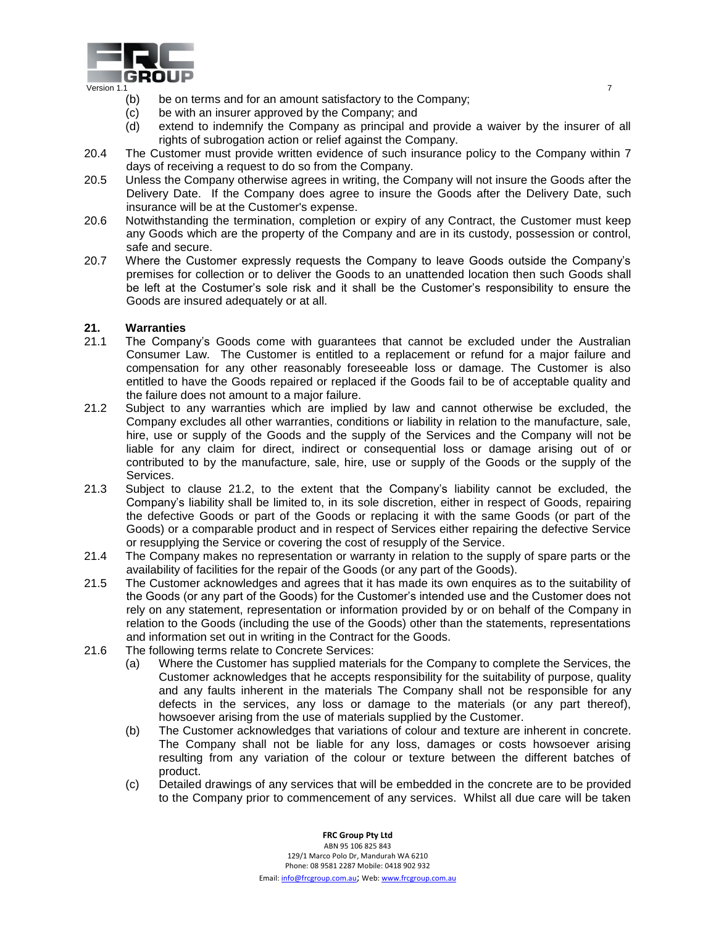

- (b) be on terms and for an amount satisfactory to the Company;
- (c) be with an insurer approved by the Company; and
- (d) extend to indemnify the Company as principal and provide a waiver by the insurer of all rights of subrogation action or relief against the Company.
- 20.4 The Customer must provide written evidence of such insurance policy to the Company within 7 days of receiving a request to do so from the Company.
- 20.5 Unless the Company otherwise agrees in writing, the Company will not insure the Goods after the Delivery Date. If the Company does agree to insure the Goods after the Delivery Date, such insurance will be at the Customer's expense.
- 20.6 Notwithstanding the termination, completion or expiry of any Contract, the Customer must keep any Goods which are the property of the Company and are in its custody, possession or control, safe and secure.
- 20.7 Where the Customer expressly requests the Company to leave Goods outside the Company's premises for collection or to deliver the Goods to an unattended location then such Goods shall be left at the Costumer's sole risk and it shall be the Customer's responsibility to ensure the Goods are insured adequately or at all.

# **21. Warranties**

- 21.1 The Company's Goods come with guarantees that cannot be excluded under the Australian Consumer Law. The Customer is entitled to a replacement or refund for a major failure and compensation for any other reasonably foreseeable loss or damage. The Customer is also entitled to have the Goods repaired or replaced if the Goods fail to be of acceptable quality and the failure does not amount to a major failure.
- 21.2 Subject to any warranties which are implied by law and cannot otherwise be excluded, the Company excludes all other warranties, conditions or liability in relation to the manufacture, sale, hire, use or supply of the Goods and the supply of the Services and the Company will not be liable for any claim for direct, indirect or consequential loss or damage arising out of or contributed to by the manufacture, sale, hire, use or supply of the Goods or the supply of the Services.
- 21.3 Subject to clause 21.2, to the extent that the Company's liability cannot be excluded, the Company's liability shall be limited to, in its sole discretion, either in respect of Goods, repairing the defective Goods or part of the Goods or replacing it with the same Goods (or part of the Goods) or a comparable product and in respect of Services either repairing the defective Service or resupplying the Service or covering the cost of resupply of the Service.
- 21.4 The Company makes no representation or warranty in relation to the supply of spare parts or the availability of facilities for the repair of the Goods (or any part of the Goods).
- 21.5 The Customer acknowledges and agrees that it has made its own enquires as to the suitability of the Goods (or any part of the Goods) for the Customer's intended use and the Customer does not rely on any statement, representation or information provided by or on behalf of the Company in relation to the Goods (including the use of the Goods) other than the statements, representations and information set out in writing in the Contract for the Goods.
- 21.6 The following terms relate to Concrete Services:
	- (a) Where the Customer has supplied materials for the Company to complete the Services, the Customer acknowledges that he accepts responsibility for the suitability of purpose, quality and any faults inherent in the materials The Company shall not be responsible for any defects in the services, any loss or damage to the materials (or any part thereof), howsoever arising from the use of materials supplied by the Customer.
	- (b) The Customer acknowledges that variations of colour and texture are inherent in concrete. The Company shall not be liable for any loss, damages or costs howsoever arising resulting from any variation of the colour or texture between the different batches of product.
	- (c) Detailed drawings of any services that will be embedded in the concrete are to be provided to the Company prior to commencement of any services. Whilst all due care will be taken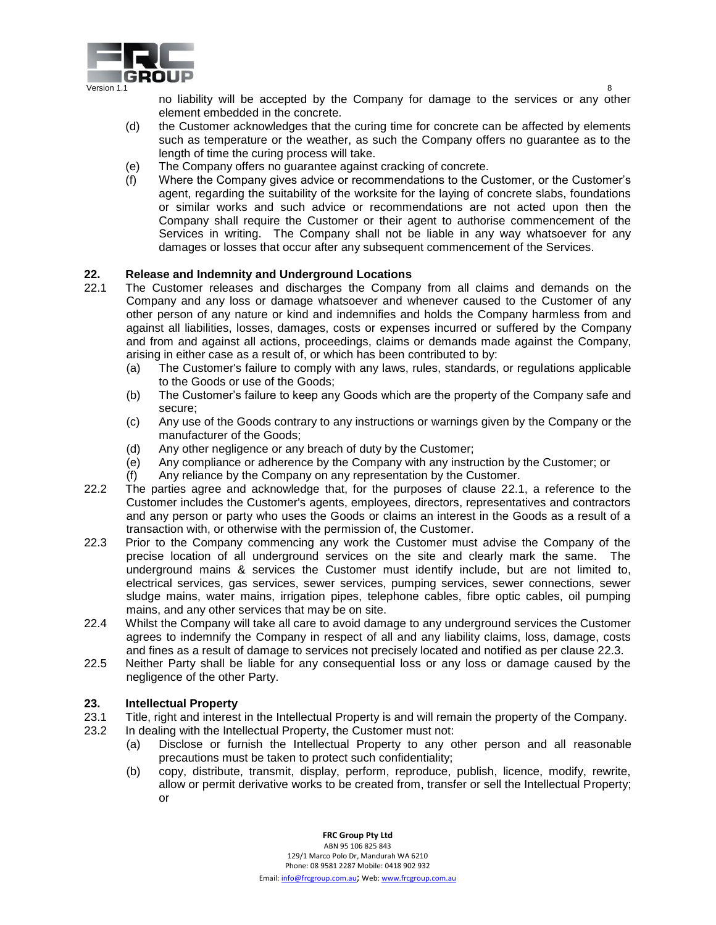

no liability will be accepted by the Company for damage to the services or any other element embedded in the concrete.

- (d) the Customer acknowledges that the curing time for concrete can be affected by elements such as temperature or the weather, as such the Company offers no guarantee as to the length of time the curing process will take.
- (e) The Company offers no guarantee against cracking of concrete.
- (f) Where the Company gives advice or recommendations to the Customer, or the Customer's agent, regarding the suitability of the worksite for the laying of concrete slabs, foundations or similar works and such advice or recommendations are not acted upon then the Company shall require the Customer or their agent to authorise commencement of the Services in writing. The Company shall not be liable in any way whatsoever for any damages or losses that occur after any subsequent commencement of the Services.

# **22. Release and Indemnity and Underground Locations**

- 22.1 The Customer releases and discharges the Company from all claims and demands on the Company and any loss or damage whatsoever and whenever caused to the Customer of any other person of any nature or kind and indemnifies and holds the Company harmless from and against all liabilities, losses, damages, costs or expenses incurred or suffered by the Company and from and against all actions, proceedings, claims or demands made against the Company, arising in either case as a result of, or which has been contributed to by:
	- (a) The Customer's failure to comply with any laws, rules, standards, or regulations applicable to the Goods or use of the Goods;
	- (b) The Customer's failure to keep any Goods which are the property of the Company safe and secure;
	- (c) Any use of the Goods contrary to any instructions or warnings given by the Company or the manufacturer of the Goods;
	- (d) Any other negligence or any breach of duty by the Customer;
	- (e) Any compliance or adherence by the Company with any instruction by the Customer; or
	- (f) Any reliance by the Company on any representation by the Customer.
- 22.2 The parties agree and acknowledge that, for the purposes of clause 22.1, a reference to the Customer includes the Customer's agents, employees, directors, representatives and contractors and any person or party who uses the Goods or claims an interest in the Goods as a result of a transaction with, or otherwise with the permission of, the Customer.
- 22.3 Prior to the Company commencing any work the Customer must advise the Company of the precise location of all underground services on the site and clearly mark the same. The underground mains & services the Customer must identify include, but are not limited to, electrical services, gas services, sewer services, pumping services, sewer connections, sewer sludge mains, water mains, irrigation pipes, telephone cables, fibre optic cables, oil pumping mains, and any other services that may be on site.
- 22.4 Whilst the Company will take all care to avoid damage to any underground services the Customer agrees to indemnify the Company in respect of all and any liability claims, loss, damage, costs and fines as a result of damage to services not precisely located and notified as per clause 22.3.
- 22.5 Neither Party shall be liable for any consequential loss or any loss or damage caused by the negligence of the other Party.

#### **23. Intellectual Property**

- 23.1 Title, right and interest in the Intellectual Property is and will remain the property of the Company.
- 23.2 In dealing with the Intellectual Property, the Customer must not:
	- (a) Disclose or furnish the Intellectual Property to any other person and all reasonable precautions must be taken to protect such confidentiality;
	- (b) copy, distribute, transmit, display, perform, reproduce, publish, licence, modify, rewrite, allow or permit derivative works to be created from, transfer or sell the Intellectual Property; or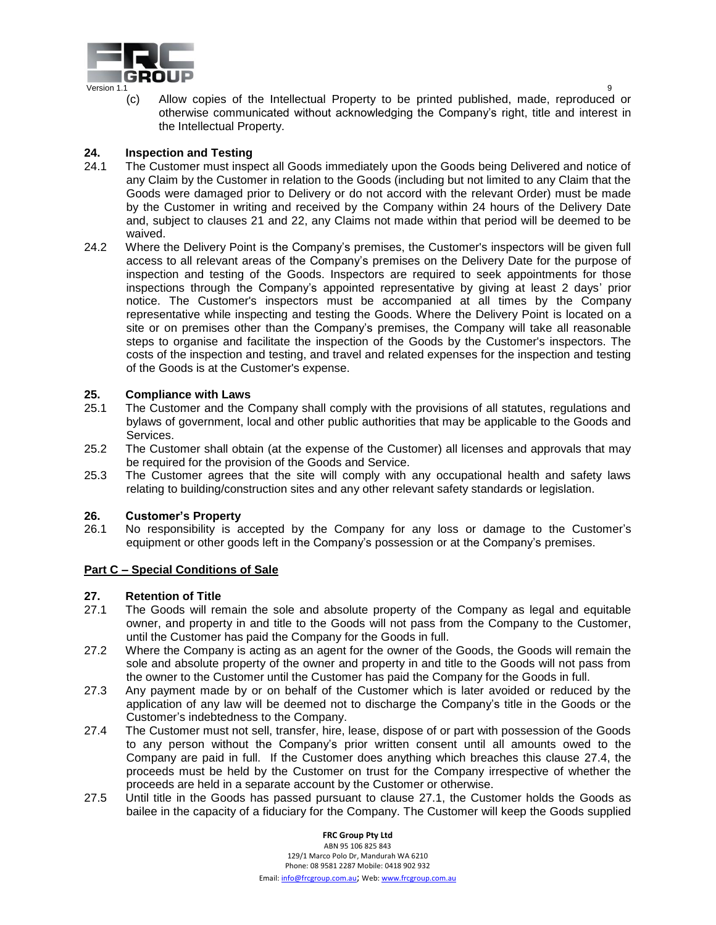

(c) Allow copies of the Intellectual Property to be printed published, made, reproduced or otherwise communicated without acknowledging the Company's right, title and interest in the Intellectual Property.

# **24. Inspection and Testing**

- 24.1 The Customer must inspect all Goods immediately upon the Goods being Delivered and notice of any Claim by the Customer in relation to the Goods (including but not limited to any Claim that the Goods were damaged prior to Delivery or do not accord with the relevant Order) must be made by the Customer in writing and received by the Company within 24 hours of the Delivery Date and, subject to clauses 21 and 22, any Claims not made within that period will be deemed to be waived.
- 24.2 Where the Delivery Point is the Company's premises, the Customer's inspectors will be given full access to all relevant areas of the Company's premises on the Delivery Date for the purpose of inspection and testing of the Goods. Inspectors are required to seek appointments for those inspections through the Company's appointed representative by giving at least 2 days' prior notice. The Customer's inspectors must be accompanied at all times by the Company representative while inspecting and testing the Goods. Where the Delivery Point is located on a site or on premises other than the Company's premises, the Company will take all reasonable steps to organise and facilitate the inspection of the Goods by the Customer's inspectors. The costs of the inspection and testing, and travel and related expenses for the inspection and testing of the Goods is at the Customer's expense.

# **25. Compliance with Laws**

- 25.1 The Customer and the Company shall comply with the provisions of all statutes, regulations and bylaws of government, local and other public authorities that may be applicable to the Goods and Services.
- 25.2 The Customer shall obtain (at the expense of the Customer) all licenses and approvals that may be required for the provision of the Goods and Service.
- 25.3 The Customer agrees that the site will comply with any occupational health and safety laws relating to building/construction sites and any other relevant safety standards or legislation.

#### **26. Customer's Property**

26.1 No responsibility is accepted by the Company for any loss or damage to the Customer's equipment or other goods left in the Company's possession or at the Company's premises.

#### **Part C – Special Conditions of Sale**

#### **27. Retention of Title**

- 27.1 The Goods will remain the sole and absolute property of the Company as legal and equitable owner, and property in and title to the Goods will not pass from the Company to the Customer, until the Customer has paid the Company for the Goods in full.
- 27.2 Where the Company is acting as an agent for the owner of the Goods, the Goods will remain the sole and absolute property of the owner and property in and title to the Goods will not pass from the owner to the Customer until the Customer has paid the Company for the Goods in full.
- 27.3 Any payment made by or on behalf of the Customer which is later avoided or reduced by the application of any law will be deemed not to discharge the Company's title in the Goods or the Customer's indebtedness to the Company.
- 27.4 The Customer must not sell, transfer, hire, lease, dispose of or part with possession of the Goods to any person without the Company's prior written consent until all amounts owed to the Company are paid in full. If the Customer does anything which breaches this clause 27.4, the proceeds must be held by the Customer on trust for the Company irrespective of whether the proceeds are held in a separate account by the Customer or otherwise.
- 27.5 Until title in the Goods has passed pursuant to clause 27.1, the Customer holds the Goods as bailee in the capacity of a fiduciary for the Company. The Customer will keep the Goods supplied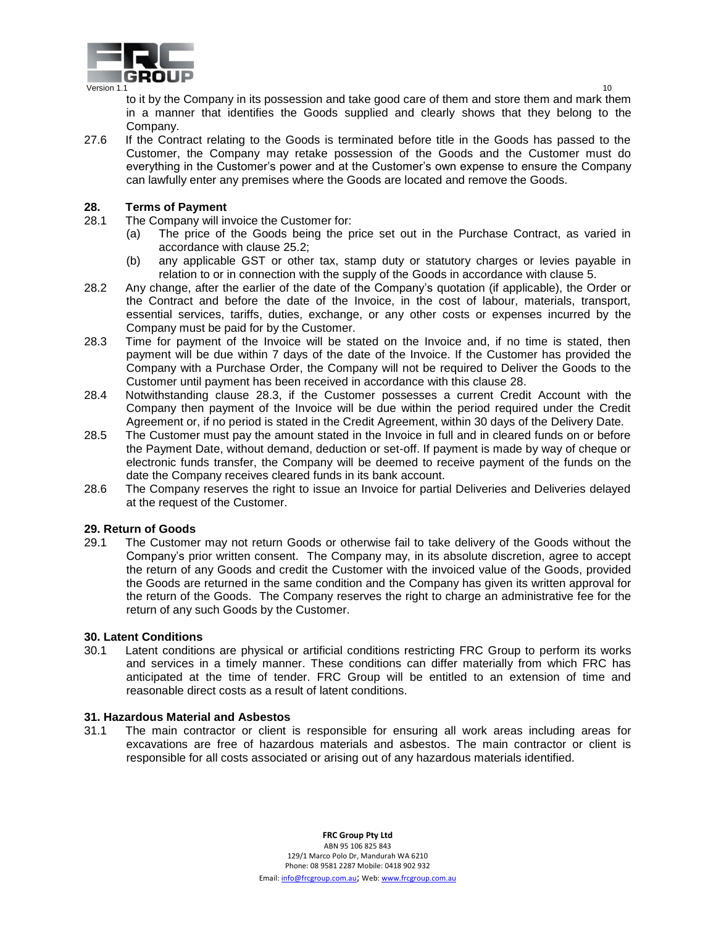

to it by the Company in its possession and take good care of them and store them and mark them in a manner that identifies the Goods supplied and clearly shows that they belong to the Company.

27.6 If the Contract relating to the Goods is terminated before title in the Goods has passed to the Customer, the Company may retake possession of the Goods and the Customer must do everything in the Customer's power and at the Customer's own expense to ensure the Company can lawfully enter any premises where the Goods are located and remove the Goods.

## **28. Terms of Payment**

- 28.1 The Company will invoice the Customer for:
	- (a) The price of the Goods being the price set out in the Purchase Contract, as varied in accordance with clause 25.2;
	- (b) any applicable GST or other tax, stamp duty or statutory charges or levies payable in relation to or in connection with the supply of the Goods in accordance with clause 5.
- 28.2 Any change, after the earlier of the date of the Company's quotation (if applicable), the Order or the Contract and before the date of the Invoice, in the cost of labour, materials, transport, essential services, tariffs, duties, exchange, or any other costs or expenses incurred by the Company must be paid for by the Customer.
- 28.3 Time for payment of the Invoice will be stated on the Invoice and, if no time is stated, then payment will be due within 7 days of the date of the Invoice. If the Customer has provided the Company with a Purchase Order, the Company will not be required to Deliver the Goods to the Customer until payment has been received in accordance with this clause 28.
- 28.4 Notwithstanding clause 28.3, if the Customer possesses a current Credit Account with the Company then payment of the Invoice will be due within the period required under the Credit Agreement or, if no period is stated in the Credit Agreement, within 30 days of the Delivery Date.
- 28.5 The Customer must pay the amount stated in the Invoice in full and in cleared funds on or before the Payment Date, without demand, deduction or set-off. If payment is made by way of cheque or electronic funds transfer, the Company will be deemed to receive payment of the funds on the date the Company receives cleared funds in its bank account.
- 28.6 The Company reserves the right to issue an Invoice for partial Deliveries and Deliveries delayed at the request of the Customer.

# **29. Return of Goods**

29.1 The Customer may not return Goods or otherwise fail to take delivery of the Goods without the Company's prior written consent. The Company may, in its absolute discretion, agree to accept the return of any Goods and credit the Customer with the invoiced value of the Goods, provided the Goods are returned in the same condition and the Company has given its written approval for the return of the Goods. The Company reserves the right to charge an administrative fee for the return of any such Goods by the Customer.

#### **30. Latent Conditions**

30.1 Latent conditions are physical or artificial conditions restricting FRC Group to perform its works and services in a timely manner. These conditions can differ materially from which FRC has anticipated at the time of tender. FRC Group will be entitled to an extension of time and reasonable direct costs as a result of latent conditions.

#### **31. Hazardous Material and Asbestos**

31.1 The main contractor or client is responsible for ensuring all work areas including areas for excavations are free of hazardous materials and asbestos. The main contractor or client is responsible for all costs associated or arising out of any hazardous materials identified.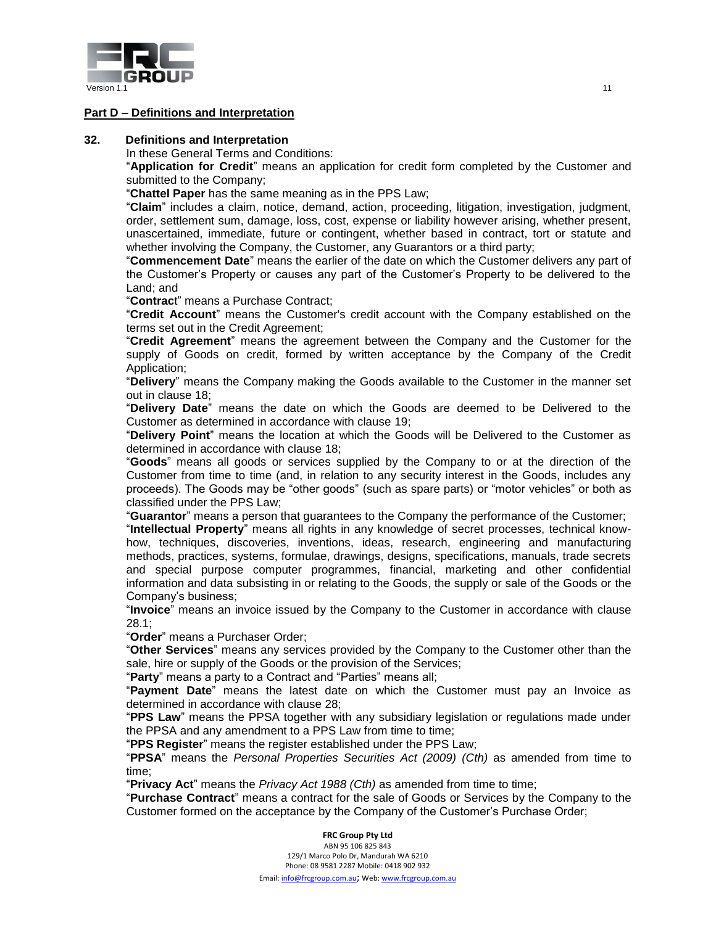

# **Part D – Definitions and Interpretation**

#### **32. Definitions and Interpretation**

In these General Terms and Conditions:

"**Application for Credit**" means an application for credit form completed by the Customer and submitted to the Company;

"**Chattel Paper** has the same meaning as in the PPS Law;

"**Claim**" includes a claim, notice, demand, action, proceeding, litigation, investigation, judgment, order, settlement sum, damage, loss, cost, expense or liability however arising, whether present, unascertained, immediate, future or contingent, whether based in contract, tort or statute and whether involving the Company, the Customer, any Guarantors or a third party;

"**Commencement Date**" means the earlier of the date on which the Customer delivers any part of the Customer's Property or causes any part of the Customer's Property to be delivered to the Land; and

"**Contrac**t" means a Purchase Contract;

"**Credit Account**" means the Customer's credit account with the Company established on the terms set out in the Credit Agreement;

"**Credit Agreement**" means the agreement between the Company and the Customer for the supply of Goods on credit, formed by written acceptance by the Company of the Credit Application;

"**Delivery**" means the Company making the Goods available to the Customer in the manner set out in clause 18;

"**Delivery Date**" means the date on which the Goods are deemed to be Delivered to the Customer as determined in accordance with clause 19;

"**Delivery Point**" means the location at which the Goods will be Delivered to the Customer as determined in accordance with clause 18;

"**Goods**" means all goods or services supplied by the Company to or at the direction of the Customer from time to time (and, in relation to any security interest in the Goods, includes any proceeds). The Goods may be "other goods" (such as spare parts) or "motor vehicles" or both as classified under the PPS Law;

"**Guarantor**" means a person that guarantees to the Company the performance of the Customer;

"**Intellectual Property**" means all rights in any knowledge of secret processes, technical knowhow, techniques, discoveries, inventions, ideas, research, engineering and manufacturing methods, practices, systems, formulae, drawings, designs, specifications, manuals, trade secrets and special purpose computer programmes, financial, marketing and other confidential information and data subsisting in or relating to the Goods, the supply or sale of the Goods or the Company's business;

"**Invoice**" means an invoice issued by the Company to the Customer in accordance with clause 28.1;

"**Order**" means a Purchaser Order;

"**Other Services**" means any services provided by the Company to the Customer other than the sale, hire or supply of the Goods or the provision of the Services;

"**Party**" means a party to a Contract and "Parties" means all;

"**Payment Date**" means the latest date on which the Customer must pay an Invoice as determined in accordance with clause 28;

"**PPS Law**" means the PPSA together with any subsidiary legislation or regulations made under the PPSA and any amendment to a PPS Law from time to time;

"**PPS Register**" means the register established under the PPS Law;

"**PPSA**" means the *Personal Properties Securities Act (2009) (Cth)* as amended from time to time;

"**Privacy Act**" means the *Privacy Act 1988 (Cth)* as amended from time to time;

"**Purchase Contract**" means a contract for the sale of Goods or Services by the Company to the Customer formed on the acceptance by the Company of the Customer's Purchase Order;